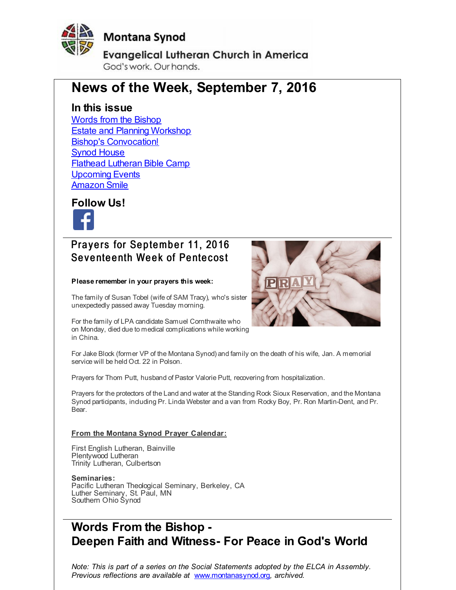<span id="page-0-0"></span>

**Evangelical Lutheran Church in America** God's work, Our hands,

# **News of the Week, September 7, 2016**

### **In this issue**

Words from the [Bishop](#page-0-0) Estate and Planning [Workshop](#page-0-0) Bishop's [Convocation!](#page-0-0) Synod [House](#page-0-0) Flathead [Lutheran](#page-0-0) Bible Camp **[Upcoming](#page-0-0) Events [Amazon](#page-0-0) Smile** 

**Follow Us!**



## Prayers for September 11, 2016 Seventeenth Week of Pentecost

#### **Please remember in your prayers this week:**

The family of Susan Tobel (wife of SAM Tracy), who's sister unexpectedly passed away Tuesday morning.

For the family of LPA candidate Samuel Cornthwaite who on Monday, died due to medical complications while working in China.



For Jake Block (former VP of the Montana Synod) and family on the death of his wife, Jan. A memorial service will be held Oct. 22 in Polson.

Prayers for Thom Putt, husband of Pastor Valorie Putt, recovering from hospitalization.

Prayers for the protectors of the Land and water at the Standing Rock Sioux Reservation, and the Montana Synod participants, including Pr. Linda Webster and a van from Rocky Boy, Pr. Ron Martin-Dent, and Pr. Bear.

#### **From the Montana Synod Prayer Calendar:**

First English Lutheran, Bainville Plentywood Lutheran Trinity Lutheran, Culbertson

**Seminaries:** Pacific Lutheran Theological Seminary, Berkeley, CA Luther Seminary, St. Paul, MN Southern Ohio Synod

# **Words From the Bishop - Deepen Faith and Witness- For Peace in God's World**

*Note: This is part of a series on the Social Statements adopted by the ELCA in Assembly. Previous reflections are available at* [www.montanasynod.org](http://r20.rs6.net/tn.jsp?f=001zNZ3LrHaO29Rhzo8QHivIcFbHcZFdq239YFtBAQTxGQ8FWCuRLstHSClDnwtFbWKfC0Vzv5yrxSiAVB9UPbqAh803DFdLV07yy--HFFKCjM8MlcnYu1dDDPmOpM7caR2FggUU7bZEnRf-rKTW0ug2tmf58QPnbS2ofvUy74aMnU=&c=&ch=)*, archived.*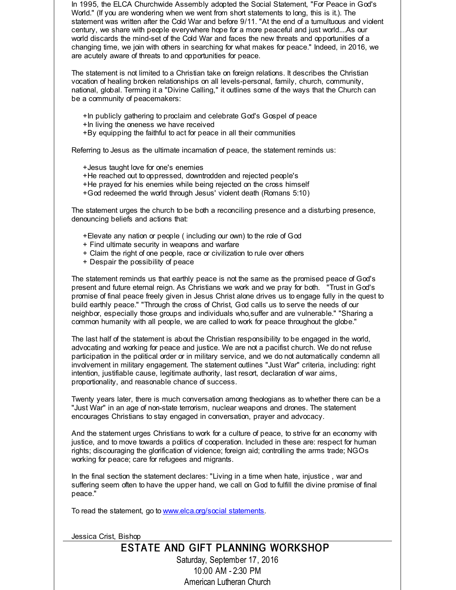In 1995, the ELCA Churchwide Assembly adopted the Social Statement, "For Peace in God's World." (If you are wondering when we went from short statements to long, this is it.). The statement was written after the Cold War and before 9/11. "At the end of a tumultuous and violent century, we share with people everywhere hope for a more peaceful and just world....As our world discards the mind-set of the Cold War and faces the new threats and opportunities of a changing time, we join with others in searching for what makes for peace." Indeed, in 2016, we are acutely aware of threats to and opportunities for peace.

The statement is not limited to a Christian take on foreign relations. It describes the Christian vocation of healing broken relationships on all levels-personal, family, church, community, national, global. Terming it a "Divine Calling," it outlines some of the ways that the Church can be a community of peacemakers:

- +In publicly gathering to proclaim and celebrate God's Gospel of peace
- +In living the oneness we have received
- +By equipping the faithful to act for peace in all their communities

Referring to Jesus as the ultimate incarnation of peace, the statement reminds us:

- +Jesus taught love for one's enemies
- +He reached out to oppressed, downtrodden and rejected people's
- +He prayed for his enemies while being rejected on the cross himself
- +God redeemed the world through Jesus' violent death (Romans 5:10)

The statement urges the church to be both a reconciling presence and a disturbing presence, denouncing beliefs and actions that:

- +Elevate any nation or people ( including our own) to the role of God
- + Find ultimate security in weapons and warfare
- + Claim the right of one people, race or civilization to rule over others
- + Despair the possibility of peace

The statement reminds us that earthly peace is not the same as the promised peace of God's present and future eternal reign. As Christians we work and we pray for both. "Trust in God's promise of final peace freely given in Jesus Christ alone drives us to engage fully in the quest to build earthly peace." "Through the cross of Christ, God calls us to serve the needs of our neighbor, especially those groups and individuals who,suffer and are vulnerable." "Sharing a common humanity with all people, we are called to work for peace throughout the globe."

The last half of the statement is about the Christian responsibility to be engaged in the world, advocating and working for peace and justice. We are not a pacifist church. We do not refuse participation in the political order or in military service, and we do not automatically condemn all involvement in military engagement. The statement outlines "Just War" criteria, including: right intention, justifiable cause, legitimate authority, last resort, declaration of war aims, proportionality, and reasonable chance of success.

Twenty years later, there is much conversation among theologians as to whether there can be a "Just War" in an age of non-state terrorism, nuclear weapons and drones. The statement encourages Christians to stay engaged in conversation, prayer and advocacy.

And the statement urges Christians to work for a culture of peace, to strive for an economy with justice, and to move towards a politics of cooperation. Included in these are: respect for human rights; discouraging the glorification of violence; foreign aid; controlling the arms trade; NGOs working for peace; care for refugees and migrants.

In the final section the statement declares: "Living in a time when hate, injustice , war and suffering seem often to have the upper hand, we call on God to fulfill the divine promise of final peace."

To read the statement, go to [www.elca.org/social](http://r20.rs6.net/tn.jsp?f=001zNZ3LrHaO29Rhzo8QHivIcFbHcZFdq239YFtBAQTxGQ8FWCuRLstHe0n9ippFtUOq3P2g_MYaep4hNfcXUFjfTlOAw4WCW1ZneuizQp1JvUMVh-KNyozsv4xw7VN0grcfRF7wD8wLP8esqJS-0jcbpRZJuxLsBkQqQBMmn-oatlcO-P-AaT0NRkkOa645yAS&c=&ch=) statements.

Jessica Crist, Bishop

#### ESTATE AND GIFT PLANNING WORKSHOP Saturday, September 17, 2016 10:00 AM - 2:30 PM American Lutheran Church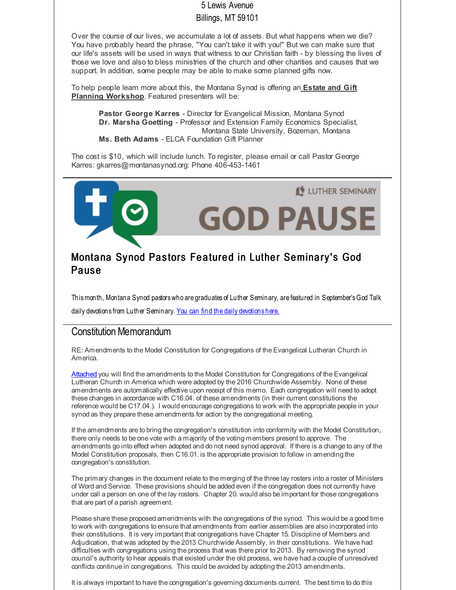#### 5 Lewis Avenue

#### Billings, MT 59101

Over the course of our lives, we accumulate a lot of assets. But what happens when we die? You have probably heard the phrase, "You can't take it with you!" But we can make sure that our life's assets will be used in ways that witness to our Christian faith - by blessing the lives of those we love and also to bless ministries of the church and other charities and causes that we support. In addition, some people may be able to make some planned gifts now.

To help people learn more about this, the Montana Synod is offering an **Estate and Gift Planning Workshop**. Featured presenters will be:

**Pastor George Karres** - Director for Evangelical Mission, Montana Synod **Dr. Marsha Goetting** - Professor and Extension Family Economics Specialist, Montana State University, Bozeman, Montana **Ms. Beth Adams** - ELCA Foundation Gift Planner

The cost is \$10, which will include lunch. To register, please email or call Pastor George Karres: gkarres@montanasynod.org: Phone 406-453-1461



## Montana Synod Pastors Featured in Luther Seminary's God **Pause**

Thismonth, Montana Synod pastorswho are graduates of Luther Seminary, are featured in September'sGod Talk daily [devotions](http://r20.rs6.net/tn.jsp?f=001zNZ3LrHaO29Rhzo8QHivIcFbHcZFdq239YFtBAQTxGQ8FWCuRLstHe0n9ippFtUOrPMu9vRsoIff-ifp_AlBMjx6Gj5b969CsJWmLpaMFGHJVgTDspjlmUtRMtdDltRyBdRcqM8CuD-uH7FZen00lFJPV0TQypDcobTgHNQYvWuMbxKxq6FYy4mFUUsjFiP3&c=&ch=) from Luther Seminary. You can find the daily devotions here.

#### Constitution Memorandum

RE: Amendments to the Model Constitution for Congregations of the Evangelical Lutheran Church in America.

[Attached](http://r20.rs6.net/tn.jsp?f=001zNZ3LrHaO29Rhzo8QHivIcFbHcZFdq239YFtBAQTxGQ8FWCuRLstHbcABBrk6gfaFqWW05vIZb9PkWEhpYsRUaoxlBgteE18CgziG-C97F2cJmW7JQhyntl7L77qOfQizERBhJ9feGI0bFumXu0WfcFmEblFEd4UCNG2oldAnNOgaegtglUBf0vbfUdJa6UuqADhUpLR2aGTS_zJ2ucLNJs8981dShC_r6lIQB8iOpsltGbHZLH96XIEiRlGJWRyukeTYYa55wWKbtEon0PikXv1EM4SsFwbZGviVt47Ss0l0NFwRDqdkuPNbILiD97f&c=&ch=) you will find the amendments to the Model Constitution for Congregations of the Evangelical Lutheran Church in America which were adopted by the 2016 Churchwide Assembly. None of these amendments are automatically effective upon receipt of this memo. Each congregation will need to adopt these changes in accordance with C16.04. of these amendments (in their current constitutions the reference would be C17.04.). I would encourage congregations to work with the appropriate people in your synod as they prepare these amendments for action by the congregational meeting.

If the amendments are to bring the congregation's constitution into conformity with the Model Constitution, there only needs to be one vote with a majority of the voting members present to approve. The amendments go into effect when adopted and do not need synod approval. If there is a change to any of the Model Constitution proposals, then C16.01. is the appropriate provision to follow in amending the congregation's constitution.

The primary changes in the document relate to the merging of the three lay rosters into a roster of Ministers of Word and Service. These provisions should be added even if the congregation does not currently have under call a person on one of the lay rosters. Chapter 20. would also be important for those congregations that are part of a parish agreement.

Please share these proposed amendments with the congregations of the synod. This would be a good time to work with congregations to ensure that amendments from earlier assemblies are also incorporated into their constitutions. It is very important that congregations have Chapter 15. Discipline of Members and Adjudication, that was adopted by the 2013 Churchwide Assembly, in their constitutions. We have had difficulties with congregations using the process that was there prior to 2013. By removing the synod council's authority to hear appeals that existed under the old process, we have had a couple of unresolved conflicts continue in congregations. This could be avoided by adopting the 2013 amendments.

It is always important to have the congregation's governing documents current. The best time to do this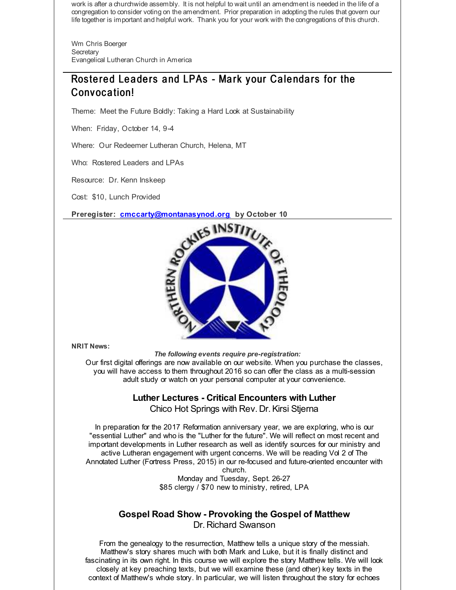work is after a churchwide assembly. It is not helpful to wait until an amendment is needed in the life of a congregation to consider voting on the amendment. Prior preparation in adopting the rules that govern our life together is important and helpful work. Thank you for your work with the congregations of this church.

Wm Chris Boerger **Secretary** Evangelical Lutheran Church in America

# Rostered Leaders and LPAs - Mark your Calendars for the Convocation!

Theme: Meet the Future Boldly: Taking a Hard Look at Sustainability

When: Friday, October 14, 9-4

Where: Our Redeemer Lutheran Church, Helena, MT

Who: Rostered Leaders and LPAs

Resource: Dr. Kenn Inskeep

Cost: \$10, Lunch Provided

**Preregister: [cmccarty@montanasynod.org](mailto:cmccarty@montanasynod.org) by October 10**



**NRIT News:**

*The following events require pre-registration:*

Our first digital offerings are now available on our website. When you purchase the classes, you will have access to them throughout 2016 so can offer the class as a multi-session adult study or watch on your personal computer at your convenience.

#### **Luther Lectures - Critical Encounters with Luther** Chico Hot Springs with Rev. Dr.Kirsi Stjerna

In preparation for the 2017 Reformation anniversary year, we are exploring, who is our "essential Luther" and who is the "Luther for the future". We will reflect on most recent and important developments in Luther research as well as identify sources for our ministry and active Lutheran engagement with urgent concerns. We will be reading Vol 2 of The Annotated Luther (Fortress Press, 2015) in our re-focused and future-oriented encounter with church.

Monday and Tuesday, Sept. 26-27 \$85 clergy / \$70 new to ministry, retired, LPA

#### **Gospel Road Show - Provoking the Gospel of Matthew** Dr. Richard Swanson

From the genealogy to the resurrection, Matthew tells a unique story of the messiah. Matthew's story shares much with both Mark and Luke, but it is finally distinct and fascinating in its own right. In this course we will explore the story Matthew tells. We will look closely at key preaching texts, but we will examine these (and other) key texts in the context of Matthew's whole story. In particular, we will listen throughout the story for echoes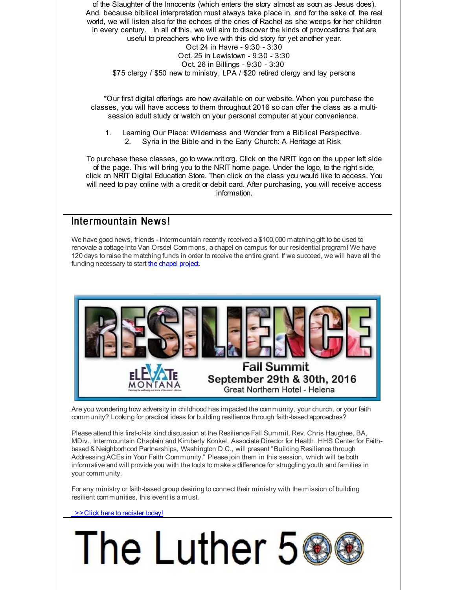of the Slaughter of the Innocents (which enters the story almost as soon as Jesus does). And, because biblical interpretation must always take place in, and for the sake of, the real world, we will listen also for the echoes of the cries of Rachel as she weeps for her children in every century. In all of this, we will aim to discover the kinds of provocations that are useful to preachers who live with this old story for yet another year. Oct 24 in Havre - 9:30 - 3:30 Oct. 25 in Lewistown - 9:30 - 3:30 Oct. 26 in Billings - 9:30 - 3:30 \$75 clergy / \$50 new to ministry, LPA / \$20 retired clergy and lay persons

\*Our first digital offerings are now available on our website. When you purchase the classes, you will have access to them throughout 2016 so can offer the class as a multisession adult study or watch on your personal computer at your convenience.

1. Learning Our Place: Wilderness and Wonder from a Biblical Perspective. 2. Syria in the Bible and in the Early Church: A Heritage at Risk

To purchase these classes, go to www.nrit.org. Click on the NRIT logo on the upper left side of the page. This will bring you to the NRIT home page. Under the logo, to the right side, click on NRIT Digital Education Store. Then click on the class you would like to access. You will need to pay online with a credit or debit card. After purchasing, you will receive access information.

#### Intermountain News!

We have good news, friends - Intermountain recently received a \$100,000 matching gift to be used to renovate a cottage into Van Orsdel Commons, a chapel on campus for our residential program! We have 120 days to raise the matching funds in order to receive the entire grant. If we succeed, we will have all the funding necessary to start the [chapel](http://r20.rs6.net/tn.jsp?f=001zNZ3LrHaO29Rhzo8QHivIcFbHcZFdq239YFtBAQTxGQ8FWCuRLstHUIgqeaM0UHeBAcSkBLRS2_RirGNIDal5nvmoLzQokg2vlrqRGYwREKKTqz_Voh5uHzFxDK2VrBg4uyXEjBOYazSTp9H8uSMiebJeYedCYRRmHdD-8_P6b4vL4xsyZvOtHPwgFR03nbpsg-5R1UGk7f7x6EWTJbIx4juw0KkVEZf&c=&ch=) project.



Are you wondering how adversity in childhood has impacted the community, your church, or your faith community? Looking for practical ideas for building resilience through faith-based approaches?

Please attend this first-of-its kind discussion at the Resilience Fall Summit. Rev. Chris Haughee, BA, MDiv., Intermountain Chaplain and Kimberly Konkel, Associate Director for Health, HHS Center for Faithbased & Neighborhood Partnerships, Washington D.C., will present "Building Resilience through Addressing ACEs in Your Faith Community." Please join them in this session, which will be both informative and will provide you with the tools to make a difference for struggling youth and families in your community.

For any ministry or faith-based group desiring to connect their ministry with the mission of building resilient communities, this event is a must.

[>>Click](http://r20.rs6.net/tn.jsp?f=001zNZ3LrHaO29Rhzo8QHivIcFbHcZFdq239YFtBAQTxGQ8FWCuRLstHUIgqeaM0UHeEB-HAycZRAeEA4d0fbv7SfNI0uiK2f6d4iCRdtyJIgrranuPfieo77pN37dZACKGDX9F4Rb6mYwgVZYjQtL_XbTfSK1njT71vFfuZ_dXR0fy3fRRDND6M4I2yJ_9JjqFqzzYrflKx90=&c=&ch=) here to register today!

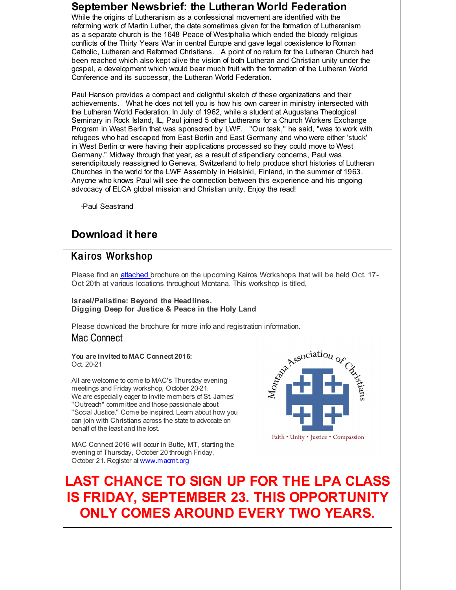#### **September Newsbrief: the Lutheran World Federation**

While the origins of Lutheranism as a confessional movement are identified with the reforming work of Martin Luther, the date sometimes given for the formation of Lutheranism as a separate church is the 1648 Peace of Westphalia which ended the bloody religious conflicts of the Thirty Years War in central Europe and gave legal coexistence to Roman Catholic, Lutheran and Reformed Christians. A point of no return for the Lutheran Church had been reached which also kept alive the vision of both Lutheran and Christian unity under the gospel, a development which would bear much fruit with the formation of the Lutheran World Conference and its successor, the Lutheran World Federation.

Paul Hanson provides a compact and delightful sketch of these organizations and their achievements. What he does not tell you is how his own career in ministry intersected with the Lutheran World Federation. In July of 1962, while a student at Augustana Theological Seminary in Rock Island, IL, Paul joined 5 other Lutherans for a Church Workers Exchange Program in West Berlin that was sponsored by LWF. "Our task," he said, "was to work with refugees who had escaped from East Berlin and East Germany and who were either 'stuck' in West Berlin or were having their applications processed so they could move to West Germany." Midway through that year, as a result of stipendiary concerns, Paul was serendipitously reassigned to Geneva, Switzerland to help produce short histories of Lutheran Churches in the world for the LWF Assembly in Helsinki, Finland, in the summer of 1963. Anyone who knows Paul will see the connection between this experience and his ongoing advocacy of ELCA global mission and Christian unity. Enjoy the read!

-Paul Seastrand

## **[Download](http://r20.rs6.net/tn.jsp?f=001zNZ3LrHaO29Rhzo8QHivIcFbHcZFdq239YFtBAQTxGQ8FWCuRLstHZMiKXLEsZycosT5NoD-XsAmHb5GZb_L1tKYG7WDtDvLXOzeoLfslHlwG16DYXYImuz4w3UKo_YDG6O1j5__Xsg9xk3Zxdw5agROSxzPaPJSKKBbiFx9Cakv3R-Zta4ZlM32F5q9ndJq3p5Igh2dJXQ=&c=&ch=) it here**

## Kairos Workshop

Please find an [attached](http://r20.rs6.net/tn.jsp?f=001zNZ3LrHaO29Rhzo8QHivIcFbHcZFdq239YFtBAQTxGQ8FWCuRLstHe0n9ippFtUOpZxLsmLYrNir3xKAX8z6PavZMkBLy2R2llIdPFYdX2eNR4m4DVV_5WUflNC_pWh8OWjaXuKv4NlDYi5nTCwotW2a7QmtMyws6ZbPs4PNvDyieVuDPkAm0jkbEjTCsZxiACX10O1ykjGDz4symwgDZ24WwnlvdzcYVLMRLRB5eozwGQP5jHqPgh18I0yqH6qim4Y9qzrKRKA=&c=&ch=) brochure on the upcoming Kairos Workshops that will be held Oct. 17-Oct 20th at various locations throughout Montana. This workshop is titled,

**Israel/Palistine: Beyond the Headlines. Digging Deep for Justice & Peace in the Holy Land**

#### Mac Connect

**You are invited to MAC Connect 2016:** Oct. 20-21

Please download the brochure for more info and registration information.<br> **Mac Connect**<br> **You are invited to MAC Connect 2016:**<br>
Oct. 20-21<br>
All are welcome to come to MAC's Thursday evening<br>
meetings and Friday workshop. All are welcome to come to MAC's Thursday evening meetings and Friday workshop, October 20-21. We are especially eager to invite members of St. James' "Outreach" committee and those passionate about "Social Justice." Come be inspired. Learn about how you can join with Christians across the state to advocate on behalf of the least and the lost.

MAC Connect 2016 will occur in Butte, MT, starting the evening of Thursday, October 20 through Friday, October 21. Register at [www.macmt.org](http://r20.rs6.net/tn.jsp?f=001zNZ3LrHaO29Rhzo8QHivIcFbHcZFdq239YFtBAQTxGQ8FWCuRLstHfwTNj5aAyD5neJv35jlJLkB9l8HHj3Dy4xiNjwRRn-A-8NQRwC0GwznyWSpyXDEGXGp3-TvkT5bgF0ooDvjZe-S3tNBy0z5zqURPW0oG4PaYIy0yfBJghY=&c=&ch=)



**LAST CHANCE TO SIGN UP FOR THE LPA CLASS IS FRIDAY, SEPTEMBER 23. THIS OPPORTUNITY ONLY COMES AROUND EVERY TWO YEARS.**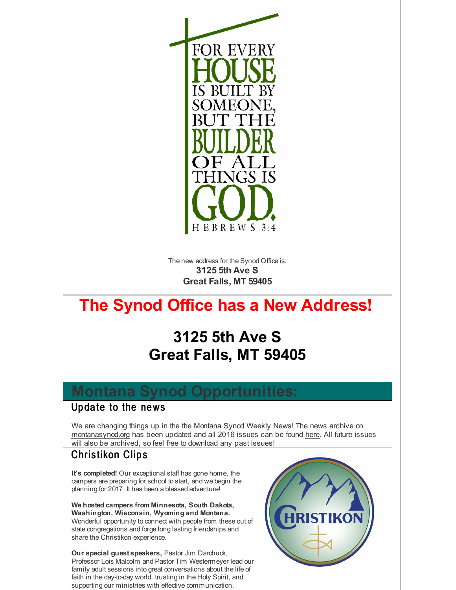

The new address for the Synod Office is: **3125 5th Ave S Great Falls, MT 59405**

# **The Synod Office has a New Address!**

# **3125 5th Ave S Great Falls, MT 59405**

# **Montana Synod Opportunities:**

### Update to the news

We are changing things up in the the Montana Synod Weekly News! The news archive on [montanasynod.org](http://r20.rs6.net/tn.jsp?f=001zNZ3LrHaO29Rhzo8QHivIcFbHcZFdq239YFtBAQTxGQ8FWCuRLstHSClDnwtFbWKfC0Vzv5yrxSiAVB9UPbqAh803DFdLV07yy--HFFKCjM8MlcnYu1dDDPmOpM7caR2FggUU7bZEnRf-rKTW0ug2tmf58QPnbS2ofvUy74aMnU=&c=&ch=) has been updated and all 2016 issues can be found [here](http://r20.rs6.net/tn.jsp?f=001zNZ3LrHaO29Rhzo8QHivIcFbHcZFdq239YFtBAQTxGQ8FWCuRLstHe0n9ippFtUOUsJvH649EEAnArSUnZQYsYH1n85nOTN09HLsc27Tvj2-yvzsuj4XYLCYyhOnwM-eO_LqPriD7lw5Db_x4FJz3jy1ZWxntDpu8mpYCn-Rs0UDSDwrn8XNnvzyeJ909KqUho9dGabazuRf9LIKHCf7-A==&c=&ch=). All future issues will also be archived, so feel free to download any past issues!

# Christikon Clips

**It's completed!** Our exceptional staff has gone home, the campers are preparing for school to start, and we begin the planning for 2017. It has been a blessed adventure!

**We hosted campers from Minnesota, South Dakota, Washington, Wisconsin, Wyoming and Montana.** Wonderful opportunity to connect with people from these out of state congregations and forge long lasting friendships and share the Christikon experience.

**Our special guest speakers,** Pastor Jim Darchuck, Professor Lois Malcolm and Pastor Tim Westermeyer lead our family adult sessions into great conversations about the life of faith in the day-to-day world, trusting in the Holy Spirit, and supporting our ministries with effective communication.

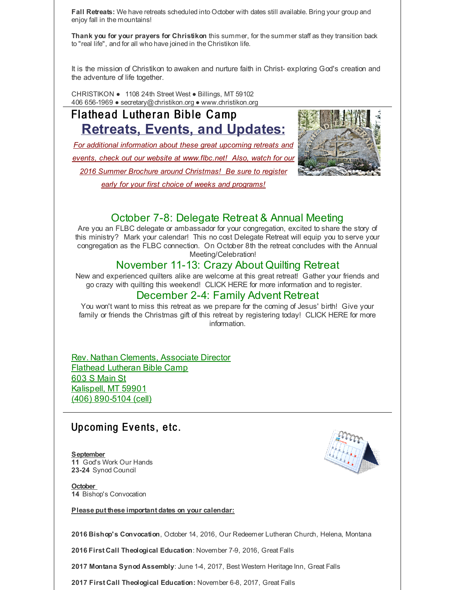**Fall Retreats:** We have retreats scheduled into October with dates still available. Bring your group and enjoy fall in the mountains!

**Thank you for your prayers for Christikon** this summer, for the summer staff as they transition back to "real life", and for all who have joined in the Christikon life.

It is the mission of Christikon to awaken and nurture faith in Christ- exploring God's creation and the adventure of life together.

CHRISTIKON ● 1108 24th Street West ● Billings, MT 59102 406 656-1969 ● secretary@christikon.org ● www.christikon.org

# Flathead Lutheran Bible Camp **Retreats, Events, and Updates:**

*For additional information about these great upcoming retreats and events, check out our website at [www.flbc.net](http://r20.rs6.net/tn.jsp?f=001zNZ3LrHaO29Rhzo8QHivIcFbHcZFdq239YFtBAQTxGQ8FWCuRLstHQPxgD-CzX_kJXjiOfzUxHG6_nM4wTY8Zu9BbmEPKno9IPMqYkbhx1rUwRue6iZdl_efA29zJdc1u8Q2VOFG3UDGscaKTBfJBUvmbBVBtwEV0GH9ciuEMSSEfUH1rrtz5MC6N_XRGm5aV4OrKMJ715eg0hC3DfI_d9Ep3zYDTXiAVojGBo7vuNRTaUmlrm1c2Vgni1k5WMG4&c=&ch=)! Also, watch for our 2016 Summer Brochure around Christmas! Be sure to register early for your first choice of weeks and programs!*



## October 7-8: Delegate Retreat & Annual Meeting

Are you an FLBC delegate or ambassador for your congregation, excited to share the story of this ministry? Mark your calendar! This no cost Delegate Retreat will equip you to serve your congregation as the FLBC connection. On October 8th the retreat concludes with the Annual Meeting/Celebration!

#### November 11-13: Crazy About Quilting Retreat

New and experienced quilters alike are welcome at this great retreat! Gather your friends and go crazy with quilting this weekend! CLICK HERE for more information and to register.

#### December 2-4: Family Advent Retreat

You won't want to miss this retreat as we prepare for the coming of Jesus' birth! Give your family or friends the Christmas gift of this retreat by registering today! CLICK HERE for more information.

Rev. Nathan Clements, Associate Director Flathead Lutheran Bible Camp 603 S Main St Kalispell, MT 59901 (406) 890-5104 (cell)

## Up coming Events, etc.

**September 11** God's Work Our Hands 23-24 Synod Council

**October 14** Bishop's Convocation

**Please put these important dates on your calendar:**

**2016 Bishop's Convocation**, October 14, 2016, Our Redeemer Lutheran Church, Helena, Montana

**2016 First Call Theological Education**: November 7-9, 2016, Great Falls

**2017 Montana Synod Assembly**: June 1-4, 2017, Best Western Heritage Inn, Great Falls

**2017 First Call Theological Education:** November 6-8, 2017, Great Falls